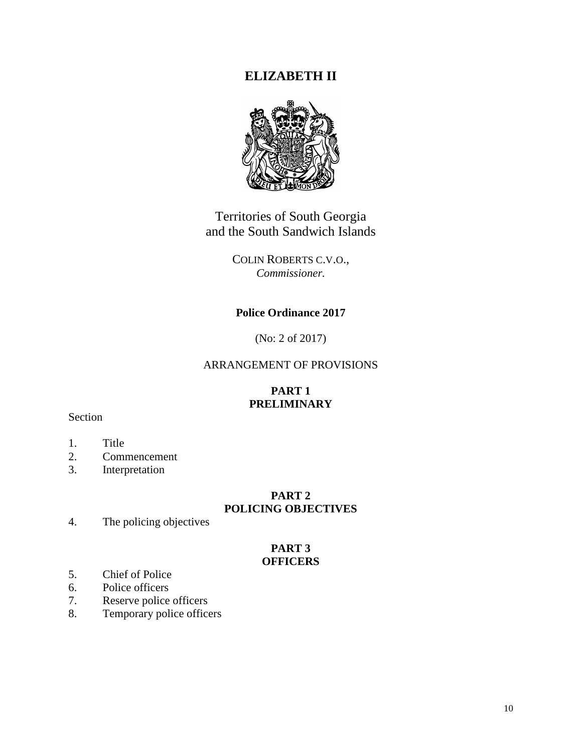# **ELIZABETH II**



Territories of South Georgia and the South Sandwich Islands

> COLIN ROBERTS C.V.O., *Commissioner.*

## **Police Ordinance 2017**

(No: 2 of 2017)

## ARRANGEMENT OF PROVISIONS

## **PART 1 PRELIMINARY**

## Section

- 1. Title<br>2. Comp
- **Commencement**
- 3. Interpretation

## **PART 2 POLICING OBJECTIVES**

4. The policing objectives

#### **PART 3 OFFICERS**

- 5. Chief of Police
- 6. Police officers
- 7. Reserve police officers
- 8. Temporary police officers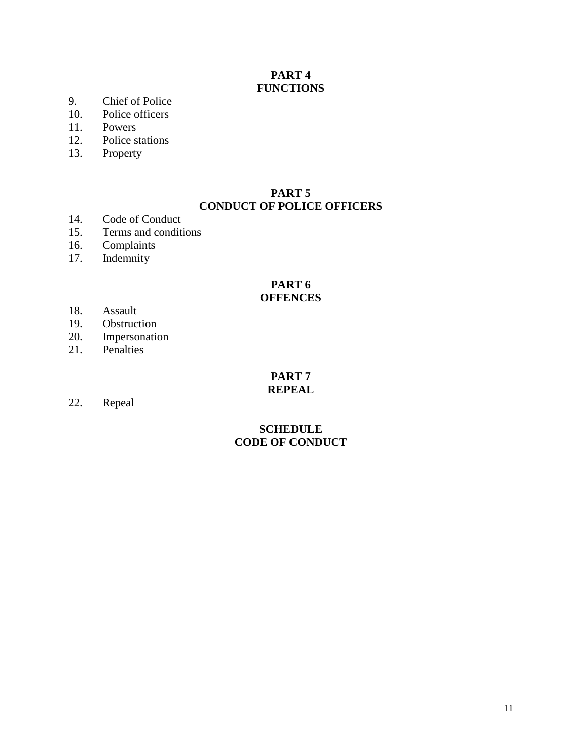## **PART 4 FUNCTIONS**

- 9. Chief of Police
- 10. Police officers
- 11. Powers
- 12. Police stations
- 13. Property

### **PART 5 CONDUCT OF POLICE OFFICERS**

- 14. Code of Conduct
- 15. Terms and conditions
- 16. Complaints
- 17. Indemnity

### **PART 6 OFFENCES**

- 18. Assault
- 19. Obstruction<br>20. Impersonation
- Impersonation
- 21. Penalties

#### **PART 7 REPEAL**

22. Repeal

## **SCHEDULE CODE OF CONDUCT**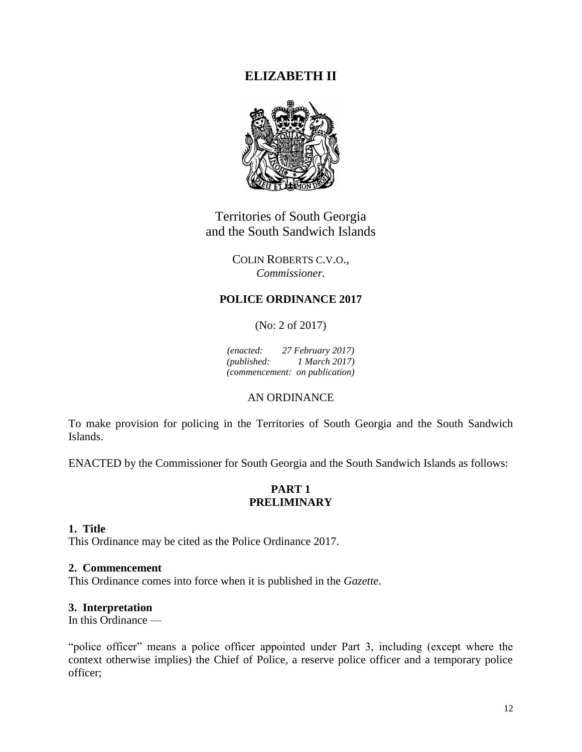# **ELIZABETH II**



Territories of South Georgia and the South Sandwich Islands

> COLIN ROBERTS C.V.O., *Commissioner.*

# **POLICE ORDINANCE 2017**

(No: 2 of 2017)

*(enacted: 27 February 2017) (published: 1 March 2017) (commencement: on publication)*

## AN ORDINANCE

To make provision for policing in the Territories of South Georgia and the South Sandwich Islands.

ENACTED by the Commissioner for South Georgia and the South Sandwich Islands as follows:

## **PART 1 PRELIMINARY**

## **1. Title**

This Ordinance may be cited as the Police Ordinance 2017.

### **2. Commencement**

This Ordinance comes into force when it is published in the *Gazette*.

### **3. Interpretation**

In this Ordinance ––

"police officer" means a police officer appointed under Part 3, including (except where the context otherwise implies) the Chief of Police, a reserve police officer and a temporary police officer;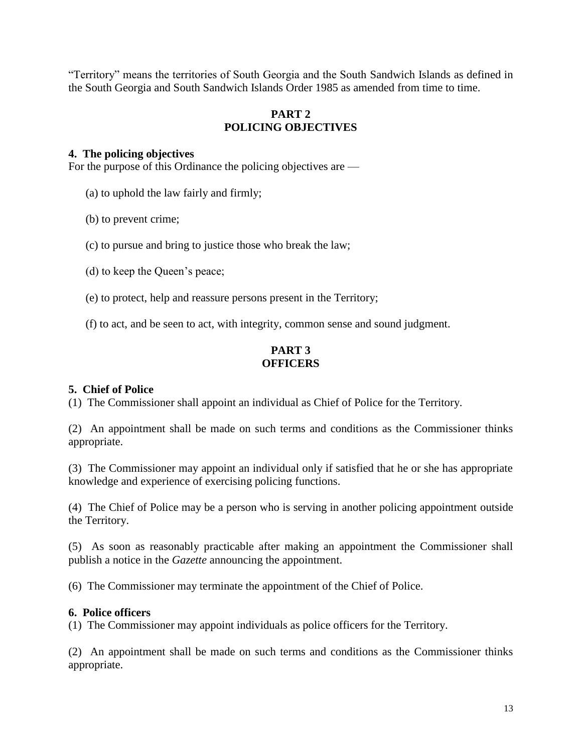"Territory" means the territories of South Georgia and the South Sandwich Islands as defined in the South Georgia and South Sandwich Islands Order 1985 as amended from time to time.

## **PART 2 POLICING OBJECTIVES**

## **4. The policing objectives**

For the purpose of this Ordinance the policing objectives are —

(a) to uphold the law fairly and firmly;

(b) to prevent crime;

(c) to pursue and bring to justice those who break the law;

(d) to keep the Queen's peace;

(e) to protect, help and reassure persons present in the Territory;

(f) to act, and be seen to act, with integrity, common sense and sound judgment.

# **PART 3 OFFICERS**

## **5. Chief of Police**

(1) The Commissioner shall appoint an individual as Chief of Police for the Territory.

(2) An appointment shall be made on such terms and conditions as the Commissioner thinks appropriate.

(3) The Commissioner may appoint an individual only if satisfied that he or she has appropriate knowledge and experience of exercising policing functions.

(4) The Chief of Police may be a person who is serving in another policing appointment outside the Territory.

(5) As soon as reasonably practicable after making an appointment the Commissioner shall publish a notice in the *Gazette* announcing the appointment.

(6) The Commissioner may terminate the appointment of the Chief of Police.

### **6. Police officers**

(1) The Commissioner may appoint individuals as police officers for the Territory.

(2) An appointment shall be made on such terms and conditions as the Commissioner thinks appropriate.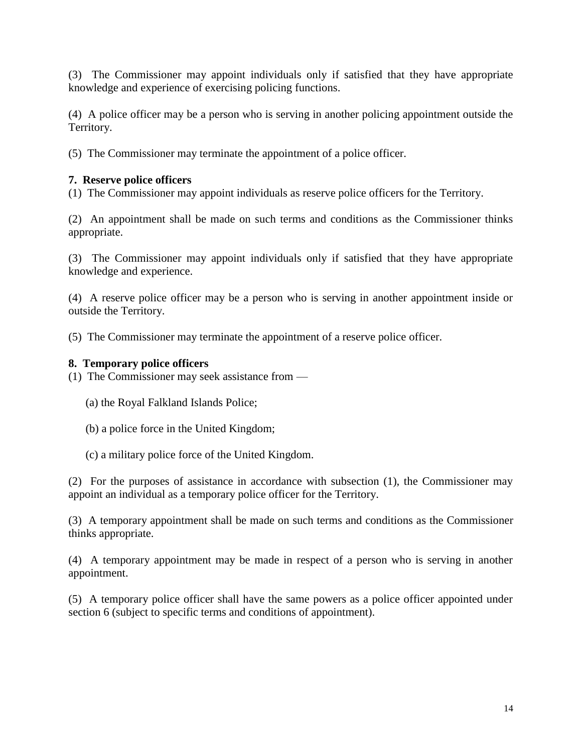(3) The Commissioner may appoint individuals only if satisfied that they have appropriate knowledge and experience of exercising policing functions.

(4) A police officer may be a person who is serving in another policing appointment outside the Territory.

(5) The Commissioner may terminate the appointment of a police officer.

# **7. Reserve police officers**

(1) The Commissioner may appoint individuals as reserve police officers for the Territory.

(2) An appointment shall be made on such terms and conditions as the Commissioner thinks appropriate.

(3) The Commissioner may appoint individuals only if satisfied that they have appropriate knowledge and experience.

(4) A reserve police officer may be a person who is serving in another appointment inside or outside the Territory.

(5) The Commissioner may terminate the appointment of a reserve police officer.

# **8. Temporary police officers**

(1) The Commissioner may seek assistance from —

- (a) the Royal Falkland Islands Police;
- (b) a police force in the United Kingdom;
- (c) a military police force of the United Kingdom.

(2) For the purposes of assistance in accordance with subsection (1), the Commissioner may appoint an individual as a temporary police officer for the Territory.

(3) A temporary appointment shall be made on such terms and conditions as the Commissioner thinks appropriate.

(4) A temporary appointment may be made in respect of a person who is serving in another appointment.

(5) A temporary police officer shall have the same powers as a police officer appointed under section 6 (subject to specific terms and conditions of appointment).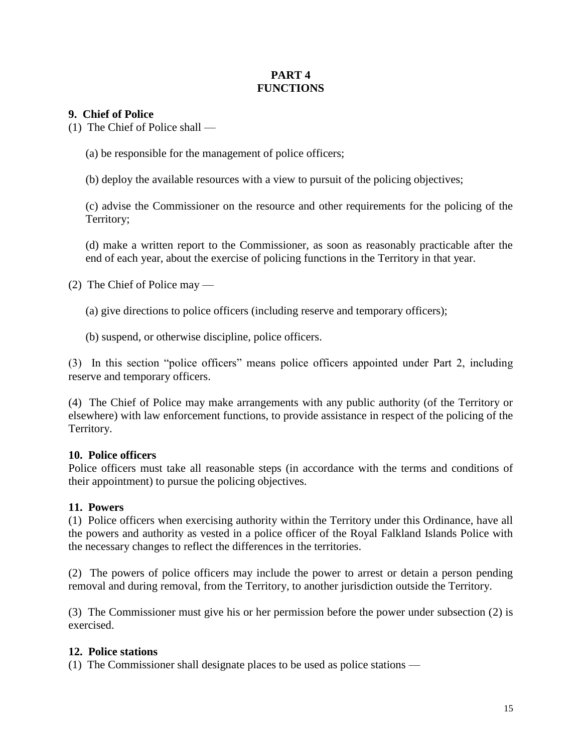# **PART 4 FUNCTIONS**

## **9. Chief of Police**

(1) The Chief of Police shall —

(a) be responsible for the management of police officers;

(b) deploy the available resources with a view to pursuit of the policing objectives;

(c) advise the Commissioner on the resource and other requirements for the policing of the Territory;

(d) make a written report to the Commissioner, as soon as reasonably practicable after the end of each year, about the exercise of policing functions in the Territory in that year.

(2) The Chief of Police may —

(a) give directions to police officers (including reserve and temporary officers);

(b) suspend, or otherwise discipline, police officers.

(3) In this section "police officers" means police officers appointed under Part 2, including reserve and temporary officers.

(4) The Chief of Police may make arrangements with any public authority (of the Territory or elsewhere) with law enforcement functions, to provide assistance in respect of the policing of the Territory.

### **10. Police officers**

Police officers must take all reasonable steps (in accordance with the terms and conditions of their appointment) to pursue the policing objectives.

### **11. Powers**

(1) Police officers when exercising authority within the Territory under this Ordinance, have all the powers and authority as vested in a police officer of the Royal Falkland Islands Police with the necessary changes to reflect the differences in the territories.

(2) The powers of police officers may include the power to arrest or detain a person pending removal and during removal, from the Territory, to another jurisdiction outside the Territory.

(3) The Commissioner must give his or her permission before the power under subsection (2) is exercised.

### **12. Police stations**

(1) The Commissioner shall designate places to be used as police stations —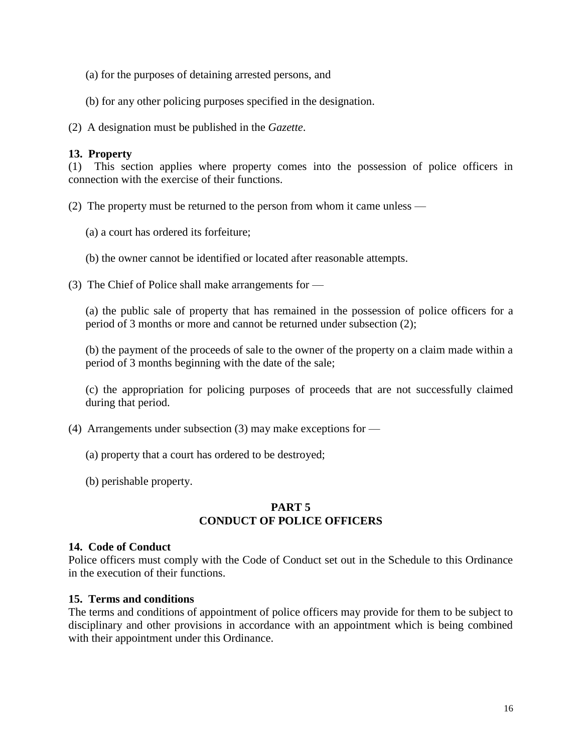- (a) for the purposes of detaining arrested persons, and
- (b) for any other policing purposes specified in the designation.

(2) A designation must be published in the *Gazette*.

## **13. Property**

(1) This section applies where property comes into the possession of police officers in connection with the exercise of their functions.

(2) The property must be returned to the person from whom it came unless —

(a) a court has ordered its forfeiture;

(b) the owner cannot be identified or located after reasonable attempts.

(3) The Chief of Police shall make arrangements for —

(a) the public sale of property that has remained in the possession of police officers for a period of 3 months or more and cannot be returned under subsection (2);

(b) the payment of the proceeds of sale to the owner of the property on a claim made within a period of 3 months beginning with the date of the sale;

(c) the appropriation for policing purposes of proceeds that are not successfully claimed during that period.

- (4) Arrangements under subsection (3) may make exceptions for
	- (a) property that a court has ordered to be destroyed;
	- (b) perishable property.

## **PART 5 CONDUCT OF POLICE OFFICERS**

### **14. Code of Conduct**

Police officers must comply with the Code of Conduct set out in the Schedule to this Ordinance in the execution of their functions.

### **15. Terms and conditions**

The terms and conditions of appointment of police officers may provide for them to be subject to disciplinary and other provisions in accordance with an appointment which is being combined with their appointment under this Ordinance.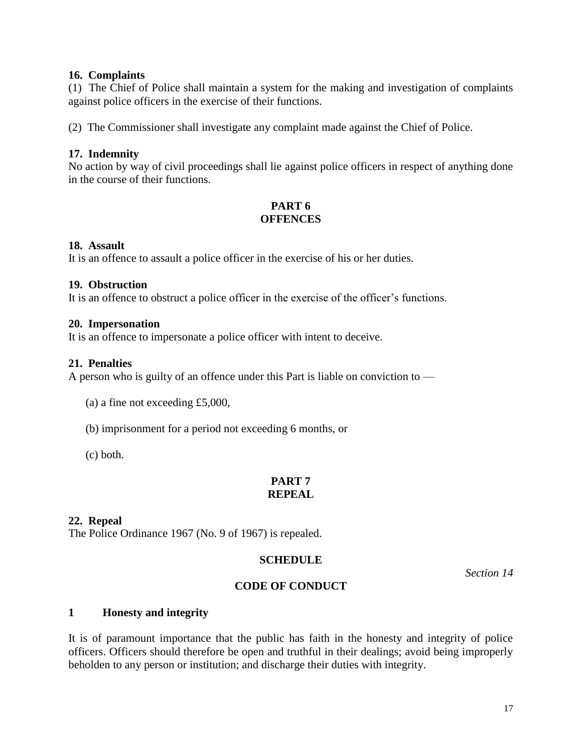## **16. Complaints**

(1) The Chief of Police shall maintain a system for the making and investigation of complaints against police officers in the exercise of their functions.

(2) The Commissioner shall investigate any complaint made against the Chief of Police.

## **17. Indemnity**

No action by way of civil proceedings shall lie against police officers in respect of anything done in the course of their functions.

# **PART 6 OFFENCES**

### **18. Assault**

It is an offence to assault a police officer in the exercise of his or her duties.

#### **19. Obstruction**

It is an offence to obstruct a police officer in the exercise of the officer's functions.

#### **20. Impersonation**

It is an offence to impersonate a police officer with intent to deceive.

#### **21. Penalties**

A person who is guilty of an offence under this Part is liable on conviction to —

(a) a fine not exceeding £5,000,

(b) imprisonment for a period not exceeding 6 months, or

(c) both.

## **PART 7 REPEAL**

### **22. Repeal**

The Police Ordinance 1967 (No. 9 of 1967) is repealed.

### **SCHEDULE**

*Section 14*

### **CODE OF CONDUCT**

#### **1 Honesty and integrity**

It is of paramount importance that the public has faith in the honesty and integrity of police officers. Officers should therefore be open and truthful in their dealings; avoid being improperly beholden to any person or institution; and discharge their duties with integrity.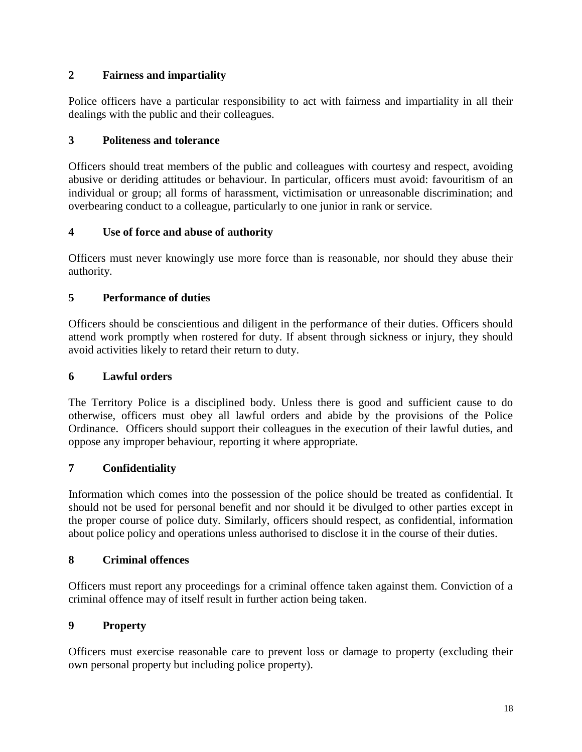# **2 Fairness and impartiality**

Police officers have a particular responsibility to act with fairness and impartiality in all their dealings with the public and their colleagues.

# **3 Politeness and tolerance**

Officers should treat members of the public and colleagues with courtesy and respect, avoiding abusive or deriding attitudes or behaviour. In particular, officers must avoid: favouritism of an individual or group; all forms of harassment, victimisation or unreasonable discrimination; and overbearing conduct to a colleague, particularly to one junior in rank or service.

# **4 Use of force and abuse of authority**

Officers must never knowingly use more force than is reasonable, nor should they abuse their authority.

# **5 Performance of duties**

Officers should be conscientious and diligent in the performance of their duties. Officers should attend work promptly when rostered for duty. If absent through sickness or injury, they should avoid activities likely to retard their return to duty.

# **6 Lawful orders**

The Territory Police is a disciplined body. Unless there is good and sufficient cause to do otherwise, officers must obey all lawful orders and abide by the provisions of the Police Ordinance. Officers should support their colleagues in the execution of their lawful duties, and oppose any improper behaviour, reporting it where appropriate.

# **7 Confidentiality**

Information which comes into the possession of the police should be treated as confidential. It should not be used for personal benefit and nor should it be divulged to other parties except in the proper course of police duty. Similarly, officers should respect, as confidential, information about police policy and operations unless authorised to disclose it in the course of their duties.

# **8 Criminal offences**

Officers must report any proceedings for a criminal offence taken against them. Conviction of a criminal offence may of itself result in further action being taken.

## **9 Property**

Officers must exercise reasonable care to prevent loss or damage to property (excluding their own personal property but including police property).